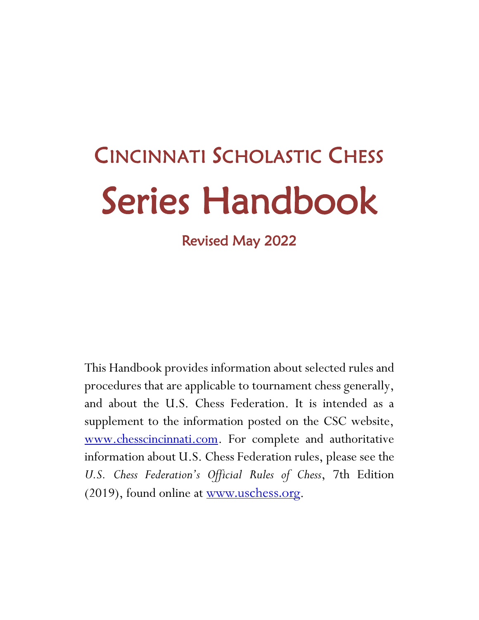# CINCINNATI SCHOLASTIC CHESS Series Handbook

Revised May 2022

This Handbook provides information about selected rules and procedures that are applicable to tournament chess generally, and about the U.S. Chess Federation. It is intended as a supplement to the information posted on the CSC website, [www.chesscincinnati.com.](http://www.chesscincinnati.com/) For complete and authoritative information about U.S. Chess Federation rules, please see the *U.S. Chess Federation's Official Rules of Chess*, 7th Edition (2019), found online at [www.uschess.org](http://www.uschess.org/).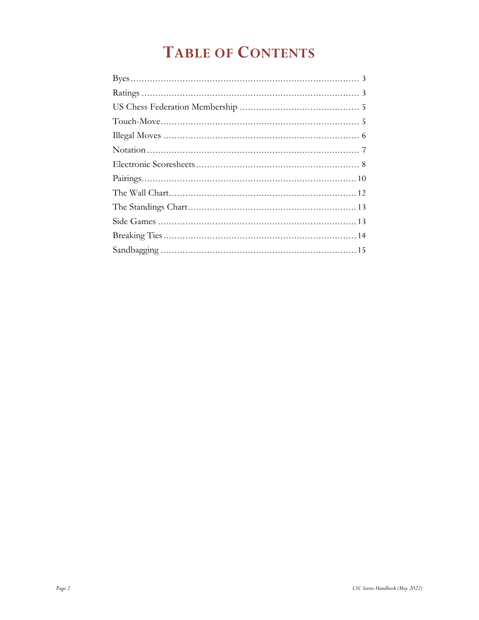# **TABLE OF CONTENTS**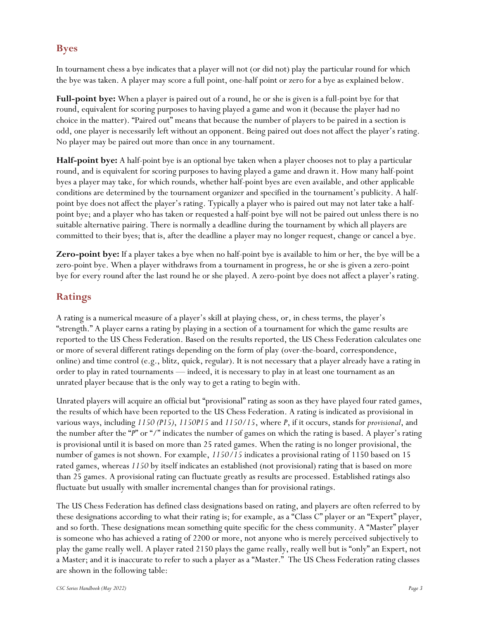# <span id="page-2-0"></span>**Byes**

In tournament chess a bye indicates that a player will not (or did not) play the particular round for which the bye was taken. A player may score a full point, one-half point or zero for a bye as explained below.

**Full-point bye:** When a player is paired out of a round, he or she is given is a full-point bye for that round, equivalent for scoring purposes to having played a game and won it (because the player had no choice in the matter). "Paired out" means that because the number of players to be paired in a section is odd, one player is necessarily left without an opponent. Being paired out does not affect the player's rating. No player may be paired out more than once in any tournament.

**Half-point bye:** A half-point bye is an optional bye taken when a player chooses not to play a particular round, and is equivalent for scoring purposes to having played a game and drawn it. How many half-point byes a player may take, for which rounds, whether half-point byes are even available, and other applicable conditions are determined by the tournament organizer and specified in the tournament's publicity. A halfpoint bye does not affect the player's rating. Typically a player who is paired out may not later take a halfpoint bye; and a player who has taken or requested a half-point bye will not be paired out unless there is no suitable alternative pairing. There is normally a deadline during the tournament by which all players are committed to their byes; that is, after the deadline a player may no longer request, change or cancel a bye.

**Zero-point bye:** If a player takes a bye when no half-point bye is available to him or her, the bye will be a zero-point bye. When a player withdraws from a tournament in progress, he or she is given a zero-point bye for every round after the last round he or she played. A zero-point bye does not affect a player's rating.

# <span id="page-2-1"></span>**Ratings**

A rating is a numerical measure of a player's skill at playing chess, or, in chess terms, the player's "strength." A player earns a rating by playing in a section of a tournament for which the game results are reported to the US Chess Federation. Based on the results reported, the US Chess Federation calculates one or more of several different ratings depending on the form of play (over-the-board, correspondence, online) and time control (e.g., blitz, quick, regular). It is not necessary that a player already have a rating in order to play in rated tournaments — indeed, it is necessary to play in at least one tournament as an unrated player because that is the only way to get a rating to begin with.

Unrated players will acquire an official but "provisional" rating as soon as they have played four rated games, the results of which have been reported to the US Chess Federation. A rating is indicated as provisional in various ways, including *1150 (P15)*, *1150P15* and *1150/15*, where *P*, if it occurs, stands for *provisional*, and the number after the "*P*" or "/" indicates the number of games on which the rating is based. A player's rating is provisional until it is based on more than 25 rated games. When the rating is no longer provisional, the number of games is not shown. For example, *1150/15* indicates a provisional rating of 1150 based on 15 rated games, whereas *1150* by itself indicates an established (not provisional) rating that is based on more than 25 games. A provisional rating can fluctuate greatly as results are processed. Established ratings also fluctuate but usually with smaller incremental changes than for provisional ratings.

The US Chess Federation has defined class designations based on rating, and players are often referred to by these designations according to what their rating is; for example, as a "Class C" player or an "Expert" player, and so forth. These designations mean something quite specific for the chess community. A "Master" player is someone who has achieved a rating of 2200 or more, not anyone who is merely perceived subjectively to play the game really well. A player rated 2150 plays the game really, really well but is "only" an Expert, not a Master; and it is inaccurate to refer to such a player as a "Master." The US Chess Federation rating classes are shown in the following table: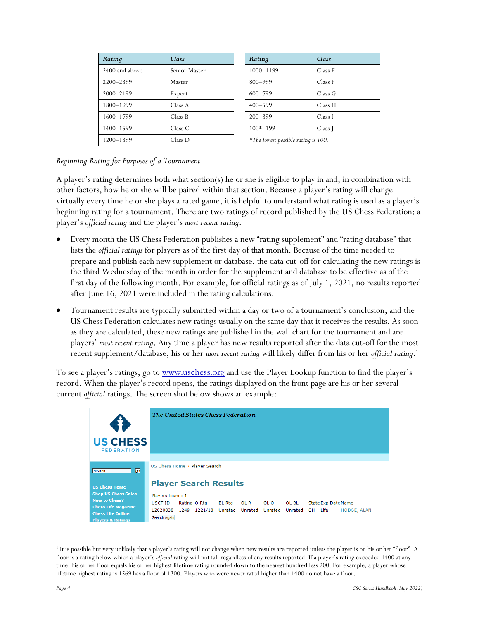| Rating         | Class         | Rating                              | Class   |
|----------------|---------------|-------------------------------------|---------|
| 2400 and above | Senior Master | 1000-1199                           | Class E |
| 2200-2399      | Master        | $800 - 999$                         | Class F |
| 2000-2199      | Expert        | 600-799                             | Class G |
| 1800-1999      | Class A       | $400 - 599$                         | Class H |
| 1600-1799      | Class B       | $200 - 399$                         | Class I |
| 1400-1599      | Class C       | $100*-199$                          | Class J |
| 1200-1399      | Class D       | *The lowest possible rating is 100. |         |

#### *Beginning Rating for Purposes of a Tournament*

A player's rating determines both what section(s) he or she is eligible to play in and, in combination with other factors, how he or she will be paired within that section. Because a player's rating will change virtually every time he or she plays a rated game, it is helpful to understand what rating is used as a player's beginning rating for a tournament. There are two ratings of record published by the US Chess Federation: a player's *official rating* and the player's *most recent rating*.

- Every month the US Chess Federation publishes a new "rating supplement" and "rating database" that lists the *official ratings* for players as of the first day of that month. Because of the time needed to prepare and publish each new supplement or database, the data cut-off for calculating the new ratings is the third Wednesday of the month in order for the supplement and database to be effective as of the first day of the following month. For example, for official ratings as of July 1, 2021, no results reported after June 16, 2021 were included in the rating calculations.
- Tournament results are typically submitted within a day or two of a tournament's conclusion, and the US Chess Federation calculates new ratings usually on the same day that it receives the results. As soon as they are calculated, these new ratings are published in the wall chart for the tournament and are players' *most recent rating*. Any time a player has new results reported after the data cut-off for the most recent supplement/database, his or her *most recent rating* will likely differ from his or her *official rating*. 1

To see a player's ratings, go to [www.uschess.org](http://www.uschess.org/) and use the Player Lookup function to find the player's record. When the player's record opens, the ratings displayed on the front page are his or her several current *official* ratings. The screen shot below shows an example:



<sup>&</sup>lt;sup>1</sup> It is possible but very unlikely that a player's rating will not change when new results are reported unless the player is on his or her "floor". A floor is a rating below which a player's *official* rating will not fall regardless of any results reported. If a player's rating exceeded 1400 at any time, his or her floor equals his or her highest lifetime rating rounded down to the nearest hundred less 200. For example, a player whose lifetime highest rating is 1569 has a floor of 1300. Players who were never rated higher than 1400 do not have a floor.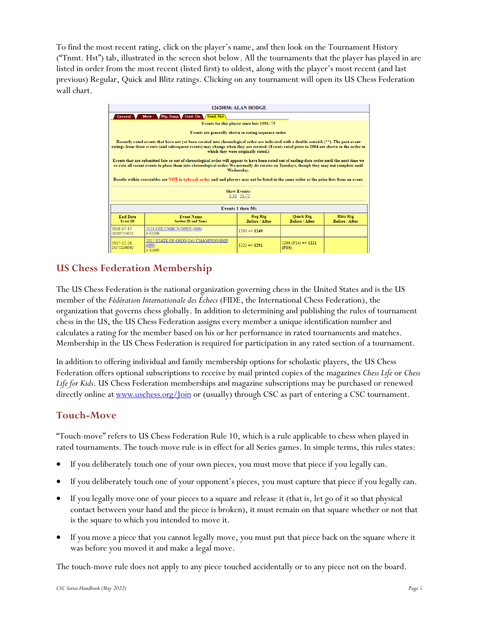To find the most recent rating, click on the player's name, and then look on the Tournament History ("Tnmt. Hst") tab, illustrated in the screen shot below. All the tournaments that the player has played in are listed in order from the most recent (listed first) to oldest, along with the player's most recent (and last previous) Regular, Quick and Blitz ratings. Clicking on any tournament will open its US Chess Federation wall chart.

| <b>12620838: ALAN HODGE</b>                                                                                                                                                                                                                                                                                                                                                                                                                                                                                                                                                                                                                                                                                                                                                                              |                                                                                                                                                                                      |                      |                                          |  |  |  |  |  |
|----------------------------------------------------------------------------------------------------------------------------------------------------------------------------------------------------------------------------------------------------------------------------------------------------------------------------------------------------------------------------------------------------------------------------------------------------------------------------------------------------------------------------------------------------------------------------------------------------------------------------------------------------------------------------------------------------------------------------------------------------------------------------------------------------------|--------------------------------------------------------------------------------------------------------------------------------------------------------------------------------------|----------------------|------------------------------------------|--|--|--|--|--|
| <b>Rtg. Supp. Tnmt. Dir. Tnmt. Hst</b><br>General<br>More                                                                                                                                                                                                                                                                                                                                                                                                                                                                                                                                                                                                                                                                                                                                                |                                                                                                                                                                                      |                      |                                          |  |  |  |  |  |
| Events for this player since late 1991: 75                                                                                                                                                                                                                                                                                                                                                                                                                                                                                                                                                                                                                                                                                                                                                               |                                                                                                                                                                                      |                      |                                          |  |  |  |  |  |
|                                                                                                                                                                                                                                                                                                                                                                                                                                                                                                                                                                                                                                                                                                                                                                                                          | Events are generally shown in rating sequence order.                                                                                                                                 |                      |                                          |  |  |  |  |  |
| Recently rated events that have not yet been rerated into chronological order are indicated with a double asterisk (**). The post-event<br>ratings from those events (and subsequent events) may change when they are rerated. (Events rated prior to 2004 are shown in the order in<br>which they were originally rated.)<br>Events that are submitted late or out of chronological order will appear to have been rated out of ending-date order until the next time we<br>re-rate all recent events to place them into chronological order. We normally do rerates on Tuesdays, though they may not complete until<br>Wednesday.<br>Results within crosstables are NOT in tiebreak order and and players may not be listed in the same order as the prize lists from an event.<br><b>Show Events:</b> |                                                                                                                                                                                      |                      |                                          |  |  |  |  |  |
| $1-50$ $51-75$                                                                                                                                                                                                                                                                                                                                                                                                                                                                                                                                                                                                                                                                                                                                                                                           |                                                                                                                                                                                      |                      |                                          |  |  |  |  |  |
| Events 1 thru 50:                                                                                                                                                                                                                                                                                                                                                                                                                                                                                                                                                                                                                                                                                                                                                                                        |                                                                                                                                                                                      |                      |                                          |  |  |  |  |  |
| <b>End Date</b><br><b>Event ID</b>                                                                                                                                                                                                                                                                                                                                                                                                                                                                                                                                                                                                                                                                                                                                                                       | <b>Reg Rtg</b><br><b>Quick Rtg</b><br><b>Blitz Rtg</b><br><b>Event Name</b><br><b>Before / After</b><br><b>Before / After</b><br><b>Before / After</b><br><b>Section ID and Name</b> |                      |                                          |  |  |  |  |  |
| 2018-07-15<br>201807154352                                                                                                                                                                                                                                                                                                                                                                                                                                                                                                                                                                                                                                                                                                                                                                               | 2018 COLUMBUS OPEN (OH)<br>4: U1300                                                                                                                                                  | $1291 \implies 1249$ |                                          |  |  |  |  |  |
| 2017-12-26<br>201712268392                                                                                                                                                                                                                                                                                                                                                                                                                                                                                                                                                                                                                                                                                                                                                                               | 2017 STATE OF OHIO G45 CHAMPIONSHIP<br>(OH)<br>3:11600                                                                                                                               | $1323 \implies 1291$ | $1266$ (P14) $\Rightarrow$ 1221<br>(PIS) |  |  |  |  |  |

# <span id="page-4-0"></span>**US Chess Federation Membership**

The US Chess Federation is the national organization governing chess in the United States and is the US member of the *Fédération Internationale des Échecs* (FIDE, the International Chess Federation), the organization that governs chess globally. In addition to determining and publishing the rules of tournament chess in the US, the US Chess Federation assigns every member a unique identification number and calculates a rating for the member based on his or her performance in rated tournaments and matches. Membership in the US Chess Federation is required for participation in any rated section of a tournament.

In addition to offering individual and family membership options for scholastic players, the US Chess Federation offers optional subscriptions to receive by mail printed copies of the magazines *Chess Life* or *Chess Life for Kids*. US Chess Federation memberships and magazine subscriptions may be purchased or renewed directly online at <u>[www.uschess.org/Join](https://new.uschess.org/join-us-chess)</u> or (usually) through CSC as part of entering a CSC tournament.

# <span id="page-4-1"></span>**Touch-Move**

"Touch-move" refers to US Chess Federation Rule 10, which is a rule applicable to chess when played in rated tournaments. The touch-move rule is in effect for all Series games. In simple terms, this rules states:

- If you deliberately touch one of your own pieces, you must move that piece if you legally can.
- If you deliberately touch one of your opponent's pieces, you must capture that piece if you legally can.
- If you legally move one of your pieces to a square and release it (that is, let go of it so that physical contact between your hand and the piece is broken), it must remain on that square whether or not that is the square to which you intended to move it.
- If you move a piece that you cannot legally move, you must put that piece back on the square where it was before you moved it and make a legal move.

The touch-move rule does not apply to any piece touched accidentally or to any piece not on the board.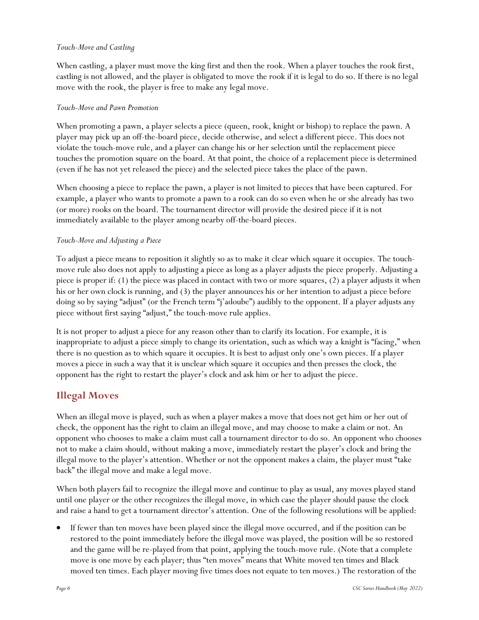#### *Touch-Move and Castling*

When castling, a player must move the king first and then the rook. When a player touches the rook first, castling is not allowed, and the player is obligated to move the rook if it is legal to do so. If there is no legal move with the rook, the player is free to make any legal move.

#### *Touch-Move and Pawn Promotion*

When promoting a pawn, a player selects a piece (queen, rook, knight or bishop) to replace the pawn. A player may pick up an off-the-board piece, decide otherwise, and select a different piece. This does not violate the touch-move rule, and a player can change his or her selection until the replacement piece touches the promotion square on the board. At that point, the choice of a replacement piece is determined (even if he has not yet released the piece) and the selected piece takes the place of the pawn.

When choosing a piece to replace the pawn, a player is not limited to pieces that have been captured. For example, a player who wants to promote a pawn to a rook can do so even when he or she already has two (or more) rooks on the board. The tournament director will provide the desired piece if it is not immediately available to the player among nearby off-the-board pieces.

#### *Touch-Move and Adjusting a Piece*

To adjust a piece means to reposition it slightly so as to make it clear which square it occupies. The touchmove rule also does not apply to adjusting a piece as long as a player adjusts the piece properly. Adjusting a piece is proper if: (1) the piece was placed in contact with two or more squares, (2) a player adjusts it when his or her own clock is running, and (3) the player announces his or her intention to adjust a piece before doing so by saying "adjust" (or the French term "j'adoube") audibly to the opponent. If a player adjusts any piece without first saying "adjust," the touch-move rule applies.

It is not proper to adjust a piece for any reason other than to clarify its location. For example, it is inappropriate to adjust a piece simply to change its orientation, such as which way a knight is "facing," when there is no question as to which square it occupies. It is best to adjust only one's own pieces. If a player moves a piece in such a way that it is unclear which square it occupies and then presses the clock, the opponent has the right to restart the player's clock and ask him or her to adjust the piece.

# <span id="page-5-0"></span>**Illegal Moves**

When an illegal move is played, such as when a player makes a move that does not get him or her out of check, the opponent has the right to claim an illegal move, and may choose to make a claim or not. An opponent who chooses to make a claim must call a tournament director to do so. An opponent who chooses not to make a claim should, without making a move, immediately restart the player's clock and bring the illegal move to the player's attention. Whether or not the opponent makes a claim, the player must "take back" the illegal move and make a legal move.

When both players fail to recognize the illegal move and continue to play as usual, any moves played stand until one player or the other recognizes the illegal move, in which case the player should pause the clock and raise a hand to get a tournament director's attention. One of the following resolutions will be applied:

• If fewer than ten moves have been played since the illegal move occurred, and if the position can be restored to the point immediately before the illegal move was played, the position will be so restored and the game will be re-played from that point, applying the touch-move rule. (Note that a complete move is one move by each player; thus "ten moves" means that White moved ten times and Black moved ten times. Each player moving five times does not equate to ten moves.) The restoration of the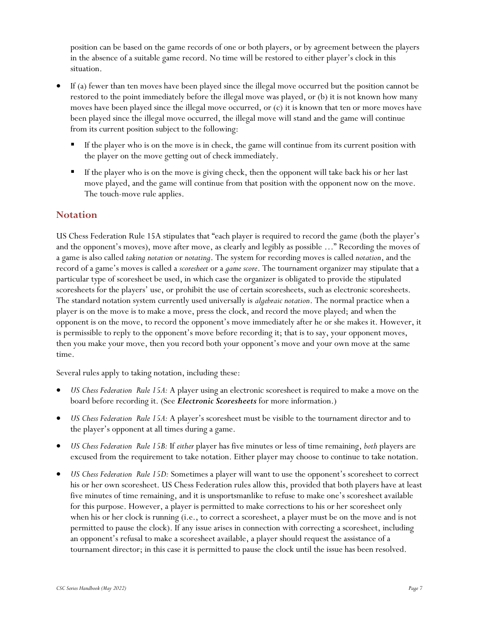position can be based on the game records of one or both players, or by agreement between the players in the absence of a suitable game record. No time will be restored to either player's clock in this situation.

- If (a) fewer than ten moves have been played since the illegal move occurred but the position cannot be restored to the point immediately before the illegal move was played, or (b) it is not known how many moves have been played since the illegal move occurred, or (c) it is known that ten or more moves have been played since the illegal move occurred, the illegal move will stand and the game will continue from its current position subject to the following:
	- If the player who is on the move is in check, the game will continue from its current position with the player on the move getting out of check immediately.
	- If the player who is on the move is giving check, then the opponent will take back his or her last move played, and the game will continue from that position with the opponent now on the move. The touch-move rule applies.

## <span id="page-6-0"></span>**Notation**

US Chess Federation Rule 15A stipulates that "each player is required to record the game (both the player's and the opponent's moves), move after move, as clearly and legibly as possible …" Recording the moves of a game is also called *taking notation* or *notating*. The system for recording moves is called *notation*, and the record of a game's moves is called a *scoresheet* or a *game score*. The tournament organizer may stipulate that a particular type of scoresheet be used, in which case the organizer is obligated to provide the stipulated scoresheets for the players' use, or prohibit the use of certain scoresheets, such as electronic scoresheets. The standard notation system currently used universally is *algebraic notation*. The normal practice when a player is on the move is to make a move, press the clock, and record the move played; and when the opponent is on the move, to record the opponent's move immediately after he or she makes it. However, it is permissible to reply to the opponent's move before recording it; that is to say, your opponent moves, then you make your move, then you record both your opponent's move and your own move at the same time.

Several rules apply to taking notation, including these:

- *US Chess Federation Rule 15A:* A player using an electronic scoresheet is required to make a move on the board before recording it. (See *Electronic Scoresheets* for more information.)
- *US Chess Federation Rule 15A:* A player's scoresheet must be visible to the tournament director and to the player's opponent at all times during a game.
- *US Chess Federation Rule 15B:* If *either* player has five minutes or less of time remaining, *both* players are excused from the requirement to take notation. Either player may choose to continue to take notation.
- *US Chess Federation Rule 15D:* Sometimes a player will want to use the opponent's scoresheet to correct his or her own scoresheet. US Chess Federation rules allow this, provided that both players have at least five minutes of time remaining, and it is unsportsmanlike to refuse to make one's scoresheet available for this purpose. However, a player is permitted to make corrections to his or her scoresheet only when his or her clock is running (i.e., to correct a scoresheet, a player must be on the move and is not permitted to pause the clock). If any issue arises in connection with correcting a scoresheet, including an opponent's refusal to make a scoresheet available, a player should request the assistance of a tournament director; in this case it is permitted to pause the clock until the issue has been resolved.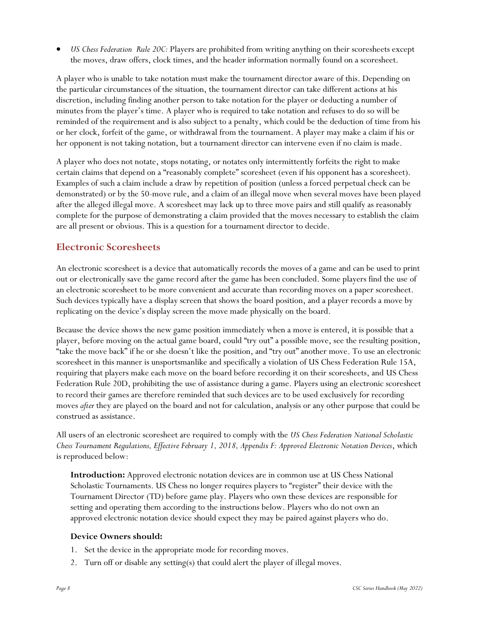• *US Chess Federation Rule 20C:* Players are prohibited from writing anything on their scoresheets except the moves, draw offers, clock times, and the header information normally found on a scoresheet.

A player who is unable to take notation must make the tournament director aware of this. Depending on the particular circumstances of the situation, the tournament director can take different actions at his discretion, including finding another person to take notation for the player or deducting a number of minutes from the player's time. A player who is required to take notation and refuses to do so will be reminded of the requirement and is also subject to a penalty, which could be the deduction of time from his or her clock, forfeit of the game, or withdrawal from the tournament. A player may make a claim if his or her opponent is not taking notation, but a tournament director can intervene even if no claim is made.

A player who does not notate, stops notating, or notates only intermittently forfeits the right to make certain claims that depend on a "reasonably complete" scoresheet (even if his opponent has a scoresheet). Examples of such a claim include a draw by repetition of position (unless a forced perpetual check can be demonstrated) or by the 50-move rule, and a claim of an illegal move when several moves have been played after the alleged illegal move. A scoresheet may lack up to three move pairs and still qualify as reasonably complete for the purpose of demonstrating a claim provided that the moves necessary to establish the claim are all present or obvious. This is a question for a tournament director to decide.

# <span id="page-7-0"></span>**Electronic Scoresheets**

An electronic scoresheet is a device that automatically records the moves of a game and can be used to print out or electronically save the game record after the game has been concluded. Some players find the use of an electronic scoresheet to be more convenient and accurate than recording moves on a paper scoresheet. Such devices typically have a display screen that shows the board position, and a player records a move by replicating on the device's display screen the move made physically on the board.

Because the device shows the new game position immediately when a move is entered, it is possible that a player, before moving on the actual game board, could "try out" a possible move, see the resulting position, "take the move back" if he or she doesn't like the position, and "try out" another move. To use an electronic scoresheet in this manner is unsportsmanlike and specifically a violation of US Chess Federation Rule 15A, requiring that players make each move on the board before recording it on their scoresheets, and US Chess Federation Rule 20D, prohibiting the use of assistance during a game. Players using an electronic scoresheet to record their games are therefore reminded that such devices are to be used exclusively for recording moves *after* they are played on the board and not for calculation, analysis or any other purpose that could be construed as assistance.

All users of an electronic scoresheet are required to comply with the *US Chess Federation National Scholastic Chess Tournament Regulations, Effective February 1, 2018, Appendix F: Approved Electronic Notation Devices*, which is reproduced below:

**Introduction:** Approved electronic notation devices are in common use at US Chess National Scholastic Tournaments. US Chess no longer requires players to "register" their device with the Tournament Director (TD) before game play. Players who own these devices are responsible for setting and operating them according to the instructions below. Players who do not own an approved electronic notation device should expect they may be paired against players who do.

#### **Device Owners should:**

- 1. Set the device in the appropriate mode for recording moves.
- 2. Turn off or disable any setting(s) that could alert the player of illegal moves.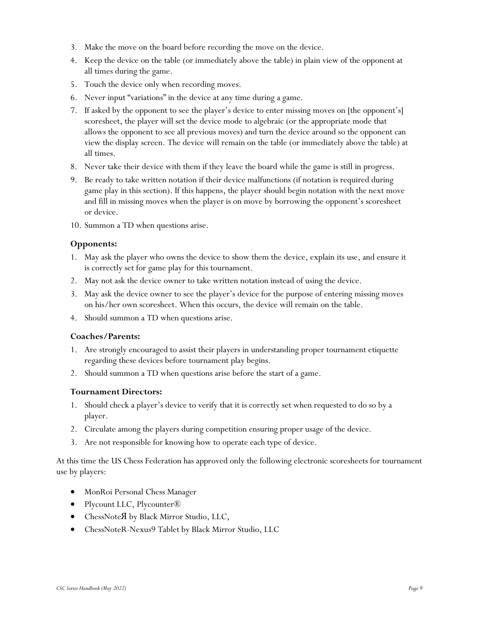- 3. Make the move on the board before recording the move on the device.
- 4. Keep the device on the table (or immediately above the table) in plain view of the opponent at all times during the game.
- 5. Touch the device only when recording moves.
- 6. Never input "variations" in the device at any time during a game.
- 7. If asked by the opponent to see the player's device to enter missing moves on [the opponent's] scoresheet, the player will set the device mode to algebraic (or the appropriate mode that allows the opponent to see all previous moves) and turn the device around so the opponent can view the display screen. The device will remain on the table (or immediately above the table) at all times.
- 8. Never take their device with them if they leave the board while the game is still in progress.
- 9. Be ready to take written notation if their device malfunctions (if notation is required during game play in this section). If this happens, the player should begin notation with the next move and fill in missing moves when the player is on move by borrowing the opponent's scoresheet or device.
- 10. Summon a TD when questions arise.

#### **Opponents:**

- 1. May ask the player who owns the device to show them the device, explain its use, and ensure it is correctly set for game play for this tournament.
- 2. May not ask the device owner to take written notation instead of using the device.
- 3. May ask the device owner to see the player's device for the purpose of entering missing moves on his/her own scoresheet. When this occurs, the device will remain on the table.
- 4. Should summon a TD when questions arise.

#### **Coaches/Parents:**

- 1. Are strongly encouraged to assist their players in understanding proper tournament etiquette regarding these devices before tournament play begins.
- 2. Should summon a TD when questions arise before the start of a game.

#### **Tournament Directors:**

- 1. Should check a player's device to verify that it is correctly set when requested to do so by a player.
- 2. Circulate among the players during competition ensuring proper usage of the device.
- 3. Are not responsible for knowing how to operate each type of device.

At this time the US Chess Federation has approved only the following electronic scoresheets for tournament use by players:

- MonRoi Personal Chess Manager
- Plycount LLC, Plycounter®
- ChessNote A by Black Mirror Studio, LLC,
- ChessNoteR-Nexus9 Tablet by Black Mirror Studio, LLC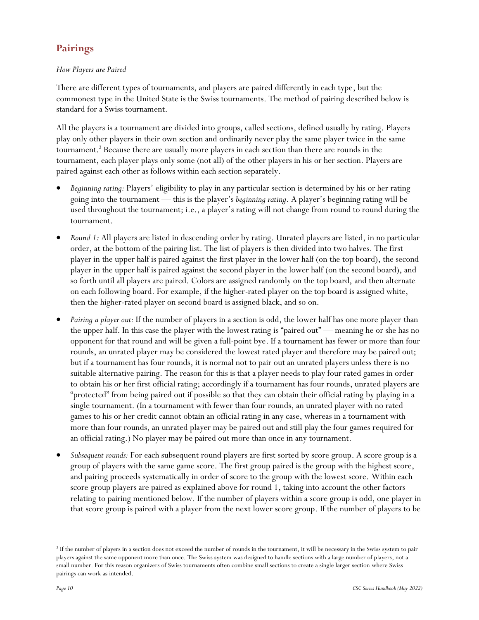# <span id="page-9-0"></span>**Pairings**

#### *How Players are Paired*

There are different types of tournaments, and players are paired differently in each type, but the commonest type in the United State is the Swiss tournaments. The method of pairing described below is standard for a Swiss tournament.

All the players is a tournament are divided into groups, called sections, defined usually by rating. Players play only other players in their own section and ordinarily never play the same player twice in the same tournament.<sup>2</sup> Because there are usually more players in each section than there are rounds in the tournament, each player plays only some (not all) of the other players in his or her section. Players are paired against each other as follows within each section separately.

- *Beginning rating:* Players' eligibility to play in any particular section is determined by his or her rating going into the tournament — this is the player's *beginning rating*. A player's beginning rating will be used throughout the tournament; i.e., a player's rating will not change from round to round during the tournament.
- *Round 1:* All players are listed in descending order by rating. Unrated players are listed, in no particular order, at the bottom of the pairing list. The list of players is then divided into two halves. The first player in the upper half is paired against the first player in the lower half (on the top board), the second player in the upper half is paired against the second player in the lower half (on the second board), and so forth until all players are paired. Colors are assigned randomly on the top board, and then alternate on each following board. For example, if the higher-rated player on the top board is assigned white, then the higher-rated player on second board is assigned black, and so on.
- *Pairing a player out:* If the number of players in a section is odd, the lower half has one more player than the upper half. In this case the player with the lowest rating is "paired out" — meaning he or she has no opponent for that round and will be given a full-point bye. If a tournament has fewer or more than four rounds, an unrated player may be considered the lowest rated player and therefore may be paired out; but if a tournament has four rounds, it is normal not to pair out an unrated players unless there is no suitable alternative pairing. The reason for this is that a player needs to play four rated games in order to obtain his or her first official rating; accordingly if a tournament has four rounds, unrated players are "protected" from being paired out if possible so that they can obtain their official rating by playing in a single tournament. (In a tournament with fewer than four rounds, an unrated player with no rated games to his or her credit cannot obtain an official rating in any case, whereas in a tournament with more than four rounds, an unrated player may be paired out and still play the four games required for an official rating.) No player may be paired out more than once in any tournament.
- *Subsequent rounds:* For each subsequent round players are first sorted by score group. A score group is a group of players with the same game score. The first group paired is the group with the highest score, and pairing proceeds systematically in order of score to the group with the lowest score. Within each score group players are paired as explained above for round 1, taking into account the other factors relating to pairing mentioned below. If the number of players within a score group is odd, one player in that score group is paired with a player from the next lower score group. If the number of players to be

<sup>&</sup>lt;sup>2</sup> If the number of players in a section does not exceed the number of rounds in the tournament, it will be necessary in the Swiss system to pair players against the same opponent more than once. The Swiss system was designed to handle sections with a large number of players, not a small number. For this reason organizers of Swiss tournaments often combine small sections to create a single larger section where Swiss pairings can work as intended.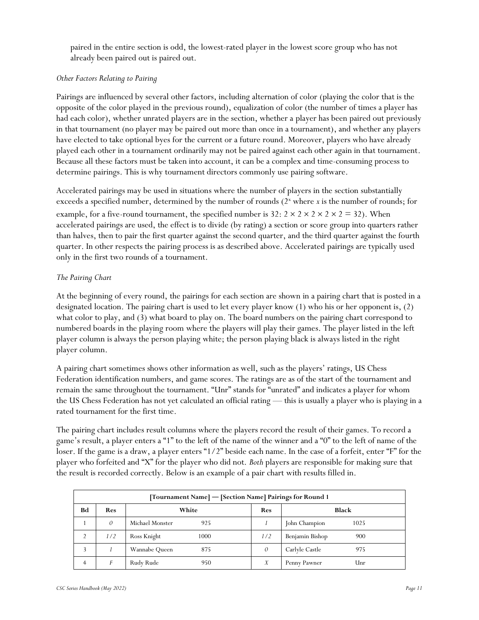paired in the entire section is odd, the lowest-rated player in the lowest score group who has not already been paired out is paired out.

#### *Other Factors Relating to Pairing*

Pairings are influenced by several other factors, including alternation of color (playing the color that is the opposite of the color played in the previous round), equalization of color (the number of times a player has had each color), whether unrated players are in the section, whether a player has been paired out previously in that tournament (no player may be paired out more than once in a tournament), and whether any players have elected to take optional byes for the current or a future round. Moreover, players who have already played each other in a tournament ordinarily may not be paired against each other again in that tournament. Because all these factors must be taken into account, it can be a complex and time-consuming process to determine pairings. This is why tournament directors commonly use pairing software.

Accelerated pairings may be used in situations where the number of players in the section substantially exceeds a specified number, determined by the number of rounds (2<sup>x</sup> where *x* is the number of rounds; for example, for a five-round tournament, the specified number is  $32: 2 \times 2 \times 2 \times 2 \times 2 = 32$ ). When accelerated pairings are used, the effect is to divide (by rating) a section or score group into quarters rather than halves, then to pair the first quarter against the second quarter, and the third quarter against the fourth quarter. In other respects the pairing process is as described above. Accelerated pairings are typically used only in the first two rounds of a tournament.

#### *The Pairing Chart*

At the beginning of every round, the pairings for each section are shown in a pairing chart that is posted in a designated location. The pairing chart is used to let every player know (1) who his or her opponent is, (2) what color to play, and (3) what board to play on. The board numbers on the pairing chart correspond to numbered boards in the playing room where the players will play their games. The player listed in the left player column is always the person playing white; the person playing black is always listed in the right player column.

A pairing chart sometimes shows other information as well, such as the players' ratings, US Chess Federation identification numbers, and game scores. The ratings are as of the start of the tournament and remain the same throughout the tournament. "Unr" stands for "unrated" and indicates a player for whom the US Chess Federation has not yet calculated an official rating — this is usually a player who is playing in a rated tournament for the first time.

The pairing chart includes result columns where the players record the result of their games. To record a game's result, a player enters a "1" to the left of the name of the winner and a "0" to the left of name of the loser. If the game is a draw, a player enters "1/2" beside each name. In the case of a forfeit, enter "F" for the player who forfeited and "X" for the player who did not. *Both* players are responsible for making sure that the result is recorded correctly. Below is an example of a pair chart with results filled in.

| [Tournament Name] — [Section Name] Pairings for Round 1 |            |                        |            |                        |  |  |  |
|---------------------------------------------------------|------------|------------------------|------------|------------------------|--|--|--|
| Bd                                                      | <b>Res</b> | White                  | <b>Res</b> | <b>Black</b>           |  |  |  |
|                                                         | $\theta$   | Michael Monster<br>925 |            | John Champion<br>1025  |  |  |  |
| 2                                                       | 1/2        | Ross Knight<br>1000    | 1/2        | Benjamin Bishop<br>900 |  |  |  |
|                                                         |            | Wannabe Queen<br>875   | 0          | Carlyle Castle<br>975  |  |  |  |
|                                                         |            | Rudy Rude<br>950       | X          | Penny Pawner<br>Unr    |  |  |  |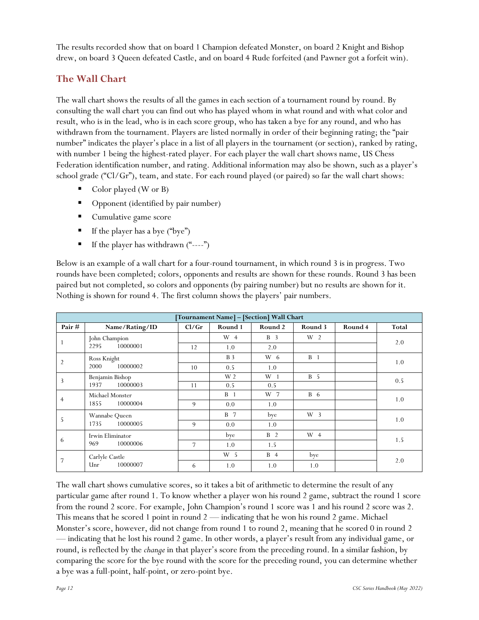The results recorded show that on board 1 Champion defeated Monster, on board 2 Knight and Bishop drew, on board 3 Queen defeated Castle, and on board 4 Rude forfeited (and Pawner got a forfeit win).

# <span id="page-11-0"></span>**The Wall Chart**

The wall chart shows the results of all the games in each section of a tournament round by round. By consulting the wall chart you can find out who has played whom in what round and with what color and result, who is in the lead, who is in each score group, who has taken a bye for any round, and who has withdrawn from the tournament. Players are listed normally in order of their beginning rating; the "pair number" indicates the player's place in a list of all players in the tournament (or section), ranked by rating, with number 1 being the highest-rated player. For each player the wall chart shows name, US Chess Federation identification number, and rating. Additional information may also be shown, such as a player's school grade ("Cl/Gr"), team, and state. For each round played (or paired) so far the wall chart shows:

- Color played (W or B)
- Opponent (identified by pair number)
- Cumulative game score
- $\blacksquare$  If the player has a bye ("bye")
- If the player has withdrawn  $("---")$

Below is an example of a wall chart for a four-round tournament, in which round 3 is in progress. Two rounds have been completed; colors, opponents and results are shown for these rounds. Round 3 has been paired but not completed, so colors and opponents (by pairing number) but no results are shown for it. Nothing is shown for round 4. The first column shows the players' pair numbers.

| Tournament Name] - [Section] Wall Chart |                                     |       |                |            |                |         |       |  |
|-----------------------------------------|-------------------------------------|-------|----------------|------------|----------------|---------|-------|--|
| Pair $#$                                | Name/Rating/ID                      | Cl/Gr | Round 1        | Round 2    | Round 3        | Round 4 | Total |  |
|                                         | John Champion                       |       | W 4            | <b>B</b> 3 | W <sub>2</sub> |         | 2.0   |  |
| $\mathbf{1}$                            | 10000001<br>2295                    | 12    | 1.0            | 2.0        |                |         |       |  |
| $\overline{2}$                          | Ross Knight                         |       | <b>B</b> 3     | W 6        | B <sub>1</sub> |         |       |  |
|                                         | 10000002<br>2000                    | 10    | 0.5            | 1.0        |                |         | 1.0   |  |
| 3                                       | Benjamin Bishop<br>10000003<br>1937 |       | W 2            | $W_1$      | <b>B</b> 5     |         | 0.5   |  |
|                                         |                                     | 11    | 0.5            | 0.5        |                |         |       |  |
| $\overline{4}$                          | Michael Monster<br>1855<br>10000004 |       | B <sub>1</sub> | W 7        | <b>B</b> 6     |         | 1.0   |  |
|                                         |                                     | 9     | 0.0            | 1.0        |                |         |       |  |
| 5                                       | Wannabe Queen<br>10000005<br>1735   |       | <b>B</b> 7     | bye        | W <sub>3</sub> |         | 1.0   |  |
|                                         |                                     | 9     | 0.0            | 1.0        |                |         |       |  |
| 6                                       | Irwin Eliminator<br>969<br>10000006 |       | bye            | <b>B</b> 2 | $W_4$          |         | 1.5   |  |
|                                         |                                     | 7     | 1.0            | 1.5        |                |         |       |  |
| 7                                       | Carlyle Castle<br>Unr<br>10000007   |       | W <sub>5</sub> | <b>B</b> 4 | bye            |         |       |  |
|                                         |                                     | 6     | 1.0            | 1.0        | 1.0            |         | 2.0   |  |

The wall chart shows cumulative scores, so it takes a bit of arithmetic to determine the result of any particular game after round 1. To know whether a player won his round 2 game, subtract the round 1 score from the round 2 score. For example, John Champion's round 1 score was 1 and his round 2 score was 2. This means that he scored 1 point in round 2 — indicating that he won his round 2 game. Michael Monster's score, however, did not change from round 1 to round 2, meaning that he scored 0 in round 2 — indicating that he lost his round 2 game. In other words, a player's result from any individual game, or round, is reflected by the *change* in that player's score from the preceding round. In a similar fashion, by comparing the score for the bye round with the score for the preceding round, you can determine whether a bye was a full-point, half-point, or zero-point bye.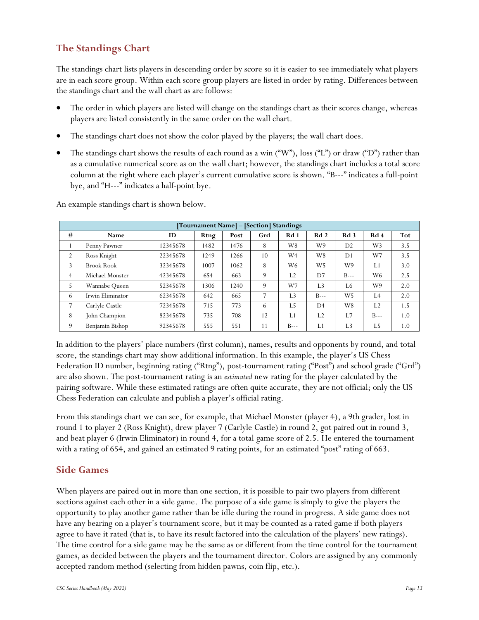# <span id="page-12-0"></span>**The Standings Chart**

The standings chart lists players in descending order by score so it is easier to see immediately what players are in each score group. Within each score group players are listed in order by rating. Differences between the standings chart and the wall chart as are follows:

- The order in which players are listed will change on the standings chart as their scores change, whereas players are listed consistently in the same order on the wall chart.
- The standings chart does not show the color played by the players; the wall chart does.
- The standings chart shows the results of each round as a win ("W"), loss ("L") or draw ("D") rather than as a cumulative numerical score as on the wall chart; however, the standings chart includes a total score column at the right where each player's current cumulative score is shown. "B---" indicates a full-point bye, and "H---" indicates a half-point bye.

| [Tournament Name] – [Section] Standings |                   |          |      |      |     |                |                |                 |                |     |
|-----------------------------------------|-------------------|----------|------|------|-----|----------------|----------------|-----------------|----------------|-----|
| #                                       | Name              | ID       | Rtng | Post | Grd | Rd 1           | Rd2            | Rd <sub>3</sub> | Rd 4           | Tot |
|                                         | Penny Pawner      | 12345678 | 1482 | 1476 | 8   | W8             | W9             | D <sub>2</sub>  | W3             | 3.5 |
| $\overline{2}$                          | Ross Knight       | 22345678 | 1249 | 1266 | 10  | W <sub>4</sub> | W8             | D <sub>1</sub>  | W7             | 3.5 |
| 3                                       | <b>Brook Rook</b> | 32345678 | 1007 | 1062 | 8   | W6             | W <sub>5</sub> | W9              | L1             | 3.0 |
| $\overline{4}$                          | Michael Monster   | 42345678 | 654  | 663  | 9   | L <sub>2</sub> | D7             | $B--$           | W <sub>6</sub> | 2.5 |
| 5                                       | Wannabe Queen     | 52345678 | 1306 | 1240 | 9   | W7             | L <sub>3</sub> | L6              | W9             | 2.0 |
| 6                                       | Irwin Eliminator  | 62345678 | 642  | 665  | 7   | L <sub>3</sub> | $B--$          | W <sub>5</sub>  | I.4            | 2.0 |
| 7                                       | Carlyle Castle    | 72345678 | 715  | 773  | 6   | L5             | D <sub>4</sub> | W8              | L <sub>2</sub> | 1.5 |
| 8                                       | John Champion     | 82345678 | 735  | 708  | 12  | L1             | L <sub>2</sub> | L7              | $B--$          | 1.0 |
| 9                                       | Benjamin Bishop   | 92345678 | 555  | 551  | 11  | $B--$          | L1             | L <sub>3</sub>  | L5             | 1.0 |

An example standings chart is shown below.

In addition to the players' place numbers (first column), names, results and opponents by round, and total score, the standings chart may show additional information. In this example, the player's US Chess Federation ID number, beginning rating ("Rtng"), post-tournament rating ("Post") and school grade ("Grd") are also shown. The post-tournament rating is an *estimated* new rating for the player calculated by the pairing software. While these estimated ratings are often quite accurate, they are not official; only the US Chess Federation can calculate and publish a player's official rating.

From this standings chart we can see, for example, that Michael Monster (player 4), a 9th grader, lost in round 1 to player 2 (Ross Knight), drew player 7 (Carlyle Castle) in round 2, got paired out in round 3, and beat player 6 (Irwin Eliminator) in round 4, for a total game score of 2.5. He entered the tournament with a rating of 654, and gained an estimated 9 rating points, for an estimated "post" rating of 663.

## <span id="page-12-1"></span>**Side Games**

When players are paired out in more than one section, it is possible to pair two players from different sections against each other in a side game. The purpose of a side game is simply to give the players the opportunity to play another game rather than be idle during the round in progress. A side game does not have any bearing on a player's tournament score, but it may be counted as a rated game if both players agree to have it rated (that is, to have its result factored into the calculation of the players' new ratings). The time control for a side game may be the same as or different from the time control for the tournament games, as decided between the players and the tournament director. Colors are assigned by any commonly accepted random method (selecting from hidden pawns, coin flip, etc.).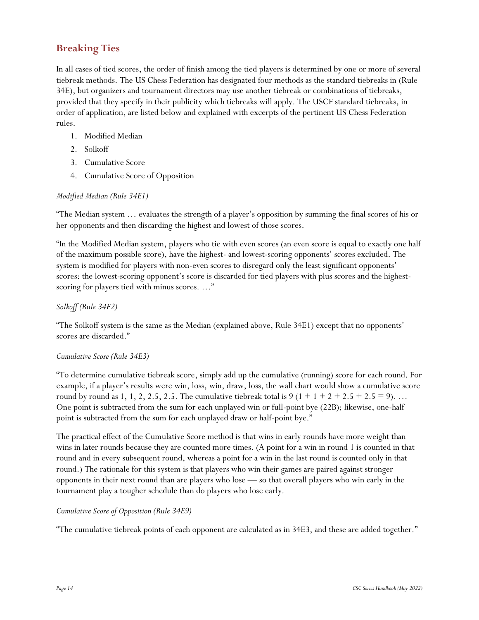# <span id="page-13-0"></span>**Breaking Ties**

In all cases of tied scores, the order of finish among the tied players is determined by one or more of several tiebreak methods. The US Chess Federation has designated four methods as the standard tiebreaks in (Rule 34E), but organizers and tournament directors may use another tiebreak or combinations of tiebreaks, provided that they specify in their publicity which tiebreaks will apply. The USCF standard tiebreaks, in order of application, are listed below and explained with excerpts of the pertinent US Chess Federation rules.

- 1. Modified Median
- 2. Solkoff
- 3. Cumulative Score
- 4. Cumulative Score of Opposition

#### *Modified Median (Rule 34E1)*

"The Median system … evaluates the strength of a player's opposition by summing the final scores of his or her opponents and then discarding the highest and lowest of those scores.

"In the Modified Median system, players who tie with even scores (an even score is equal to exactly one half of the maximum possible score), have the highest- and lowest-scoring opponents' scores excluded. The system is modified for players with non-even scores to disregard only the least significant opponents' scores: the lowest-scoring opponent's score is discarded for tied players with plus scores and the highestscoring for players tied with minus scores. ..."

#### *Solkoff (Rule 34E2)*

"The Solkoff system is the same as the Median (explained above, Rule 34E1) except that no opponents' scores are discarded."

#### *Cumulative Score (Rule 34E3)*

"To determine cumulative tiebreak score, simply add up the cumulative (running) score for each round. For example, if a player's results were win, loss, win, draw, loss, the wall chart would show a cumulative score round by round as 1, 1, 2, 2.5, 2.5. The cumulative tiebreak total is  $9(1 + 1 + 2 + 2.5 + 2.5 = 9)$ ... One point is subtracted from the sum for each unplayed win or full-point bye (22B); likewise, one-half point is subtracted from the sum for each unplayed draw or half-point bye."

The practical effect of the Cumulative Score method is that wins in early rounds have more weight than wins in later rounds because they are counted more times. (A point for a win in round 1 is counted in that round and in every subsequent round, whereas a point for a win in the last round is counted only in that round.) The rationale for this system is that players who win their games are paired against stronger opponents in their next round than are players who lose — so that overall players who win early in the tournament play a tougher schedule than do players who lose early.

#### *Cumulative Score of Opposition (Rule 34E9)*

"The cumulative tiebreak points of each opponent are calculated as in 34E3, and these are added together."